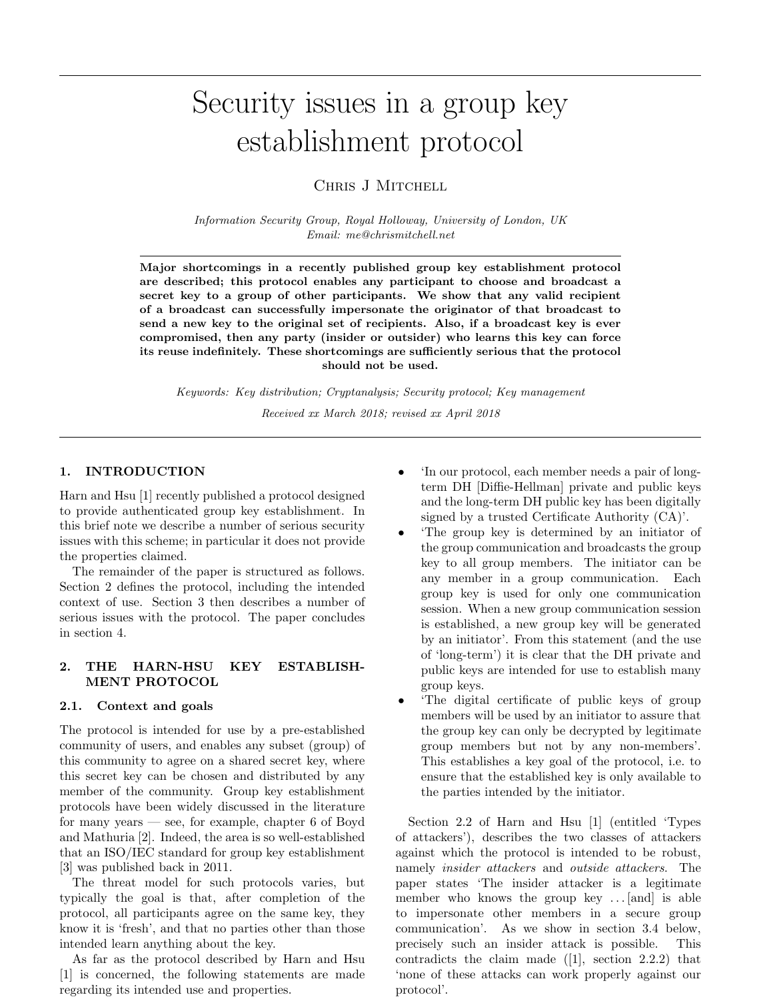# Security issues in a group key establishment protocol

# CHRIS J MITCHELL

Information Security Group, Royal Holloway, University of London, UK Email: me@chrismitchell.net

Major shortcomings in a recently published group key establishment protocol are described; this protocol enables any participant to choose and broadcast a secret key to a group of other participants. We show that any valid recipient of a broadcast can successfully impersonate the originator of that broadcast to send a new key to the original set of recipients. Also, if a broadcast key is ever compromised, then any party (insider or outsider) who learns this key can force its reuse indefinitely. These shortcomings are sufficiently serious that the protocol should not be used.

Keywords: Key distribution; Cryptanalysis; Security protocol; Key management Received xx March 2018; revised xx April 2018

# 1. INTRODUCTION

Harn and Hsu [1] recently published a protocol designed to provide authenticated group key establishment. In this brief note we describe a number of serious security issues with this scheme; in particular it does not provide the properties claimed.

The remainder of the paper is structured as follows. Section 2 defines the protocol, including the intended context of use. Section 3 then describes a number of serious issues with the protocol. The paper concludes in section 4.

# 2. THE HARN-HSU KEY ESTABLISH-MENT PROTOCOL

# 2.1. Context and goals

The protocol is intended for use by a pre-established community of users, and enables any subset (group) of this community to agree on a shared secret key, where this secret key can be chosen and distributed by any member of the community. Group key establishment protocols have been widely discussed in the literature for many years — see, for example, chapter 6 of Boyd and Mathuria [2]. Indeed, the area is so well-established that an ISO/IEC standard for group key establishment [3] was published back in 2011.

The threat model for such protocols varies, but typically the goal is that, after completion of the protocol, all participants agree on the same key, they know it is 'fresh', and that no parties other than those intended learn anything about the key.

As far as the protocol described by Harn and Hsu [1] is concerned, the following statements are made regarding its intended use and properties.

- 'In our protocol, each member needs a pair of longterm DH [Diffie-Hellman] private and public keys and the long-term DH public key has been digitally signed by a trusted Certificate Authority (CA)'.
- 'The group key is determined by an initiator of the group communication and broadcasts the group key to all group members. The initiator can be any member in a group communication. Each group key is used for only one communication session. When a new group communication session is established, a new group key will be generated by an initiator'. From this statement (and the use of 'long-term') it is clear that the DH private and public keys are intended for use to establish many group keys.
- 'The digital certificate of public keys of group members will be used by an initiator to assure that the group key can only be decrypted by legitimate group members but not by any non-members'. This establishes a key goal of the protocol, i.e. to ensure that the established key is only available to the parties intended by the initiator.

Section 2.2 of Harn and Hsu [1] (entitled 'Types of attackers'), describes the two classes of attackers against which the protocol is intended to be robust, namely insider attackers and outside attackers. The paper states 'The insider attacker is a legitimate member who knows the group key . . . [and] is able to impersonate other members in a secure group communication'. As we show in section 3.4 below, precisely such an insider attack is possible. This contradicts the claim made  $(1]$ , section 2.2.2) that 'none of these attacks can work properly against our protocol'.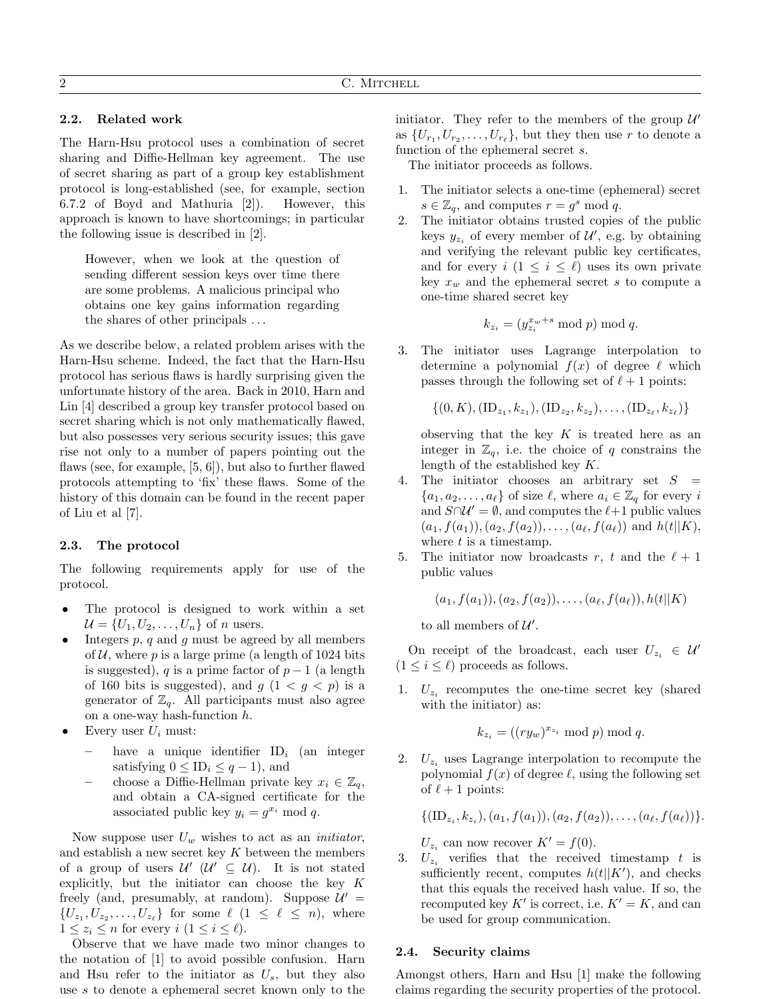#### 2.2. Related work

The Harn-Hsu protocol uses a combination of secret sharing and Diffie-Hellman key agreement. The use of secret sharing as part of a group key establishment protocol is long-established (see, for example, section 6.7.2 of Boyd and Mathuria [2]). However, this approach is known to have shortcomings; in particular the following issue is described in [2].

However, when we look at the question of sending different session keys over time there are some problems. A malicious principal who obtains one key gains information regarding the shares of other principals . . .

As we describe below, a related problem arises with the Harn-Hsu scheme. Indeed, the fact that the Harn-Hsu protocol has serious flaws is hardly surprising given the unfortunate history of the area. Back in 2010, Harn and Lin [4] described a group key transfer protocol based on secret sharing which is not only mathematically flawed, but also possesses very serious security issues; this gave rise not only to a number of papers pointing out the flaws (see, for example, [5, 6]), but also to further flawed protocols attempting to 'fix' these flaws. Some of the history of this domain can be found in the recent paper of Liu et al [7].

### 2.3. The protocol

The following requirements apply for use of the protocol.

- The protocol is designed to work within a set  $\mathcal{U} = \{U_1, U_2, \ldots, U_n\}$  of *n* users.
- Integers  $p$ ,  $q$  and  $g$  must be agreed by all members of  $U$ , where p is a large prime (a length of 1024 bits is suggested), q is a prime factor of  $p-1$  (a length of 160 bits is suggested), and  $q(1 < q < p)$  is a generator of  $\mathbb{Z}_q$ . All participants must also agree on a one-way hash-function h.
- Every user  $U_i$  must:
	- have a unique identifier  $ID_i$  (an integer satisfying  $0 \leq \text{ID}_i \leq q-1$ , and
	- choose a Diffie-Hellman private key  $x_i \in \mathbb{Z}_q$ , and obtain a CA-signed certificate for the associated public key  $y_i = g^{x_i} \text{ mod } q$ .

Now suppose user  $U_w$  wishes to act as an *initiator*, and establish a new secret key  $K$  between the members of a group of users  $\mathcal{U}'$  ( $\mathcal{U}' \subseteq \mathcal{U}$ ). It is not stated explicitly, but the initiator can choose the key  $K$ freely (and, presumably, at random). Suppose  $\mathcal{U}' =$  $\{U_{z_1}, U_{z_2}, \ldots, U_{z_\ell}\}\;$  for some  $\ell$   $(1 \leq \ell \leq n)$ , where  $1 \leq z_i \leq n$  for every  $i \ (1 \leq i \leq \ell).$ 

Observe that we have made two minor changes to the notation of [1] to avoid possible confusion. Harn and Hsu refer to the initiator as  $U_s$ , but they also use  $s$  to denote a ephemeral secret known only to the initiator. They refer to the members of the group  $\mathcal{U}'$ as  $\{U_{r_1}, U_{r_2}, \ldots, U_{r_\ell}\}\$ , but they then use r to denote a function of the ephemeral secret s.

The initiator proceeds as follows.

- 1. The initiator selects a one-time (ephemeral) secret  $s \in \mathbb{Z}_q$ , and computes  $r = g^s \mod q$ .
- 2. The initiator obtains trusted copies of the public keys  $y_{z_i}$  of every member of  $\mathcal{U}'$ , e.g. by obtaining and verifying the relevant public key certificates, and for every  $i$   $(1 \leq i \leq \ell)$  uses its own private key  $x_w$  and the ephemeral secret s to compute a one-time shared secret key

$$
k_{z_i} = (y_{z_i}^{x_w+s} \bmod p) \bmod q.
$$

3. The initiator uses Lagrange interpolation to determine a polynomial  $f(x)$  of degree  $\ell$  which passes through the following set of  $\ell + 1$  points:

 $\{ (0, K), (\text{ID}_{z_1}, k_{z_1}), (\text{ID}_{z_2}, k_{z_2}), \ldots, (\text{ID}_{z_\ell}, k_{z_\ell}) \}$ 

observing that the key  $K$  is treated here as an integer in  $\mathbb{Z}_q$ , i.e. the choice of q constrains the length of the established key K.

- 4. The initiator chooses an arbitrary set  $S =$  ${a_1, a_2, \ldots, a_\ell}$  of size  $\ell$ , where  $a_i \in \mathbb{Z}_q$  for every i and  $S \cap \mathcal{U}' = \emptyset$ , and computes the  $\ell+1$  public values  $(a_1, f(a_1)), (a_2, f(a_2)), \ldots, (a_\ell, f(a_\ell))$  and  $h(t||K)$ , where  $t$  is a timestamp.
- 5. The initiator now broadcasts r, t and the  $\ell + 1$ public values

 $(a_1, f(a_1)), (a_2, f(a_2)), \ldots, (a_\ell, f(a_\ell)), h(t||K)$ 

to all members of  $\mathcal{U}'.$ 

On receipt of the broadcast, each user  $U_{z_i} \in \mathcal{U}'$  $(1 \leq i \leq \ell)$  proceeds as follows.

1.  $U_{z_i}$  recomputes the one-time secret key (shared with the initiator) as:

$$
k_{z_i} = ((ry_w)^{x_{z_i}} \bmod p) \bmod q.
$$

2.  $U_{z_i}$  uses Lagrange interpolation to recompute the polynomial  $f(x)$  of degree  $\ell$ , using the following set of  $\ell + 1$  points:

 $\{(\text{ID}_{z_i}, k_{z_i}), (a_1, f(a_1)), (a_2, f(a_2)), \ldots, (a_\ell, f(a_\ell))\}.$ 

 $U_{z_i}$  can now recover  $K' = f(0)$ .

3.  $U_z$  verifies that the received timestamp t is sufficiently recent, computes  $h(t||K')$ , and checks that this equals the received hash value. If so, the recomputed key K' is correct, i.e.  $K' = K$ , and can be used for group communication.

#### 2.4. Security claims

Amongst others, Harn and Hsu [1] make the following claims regarding the security properties of the protocol.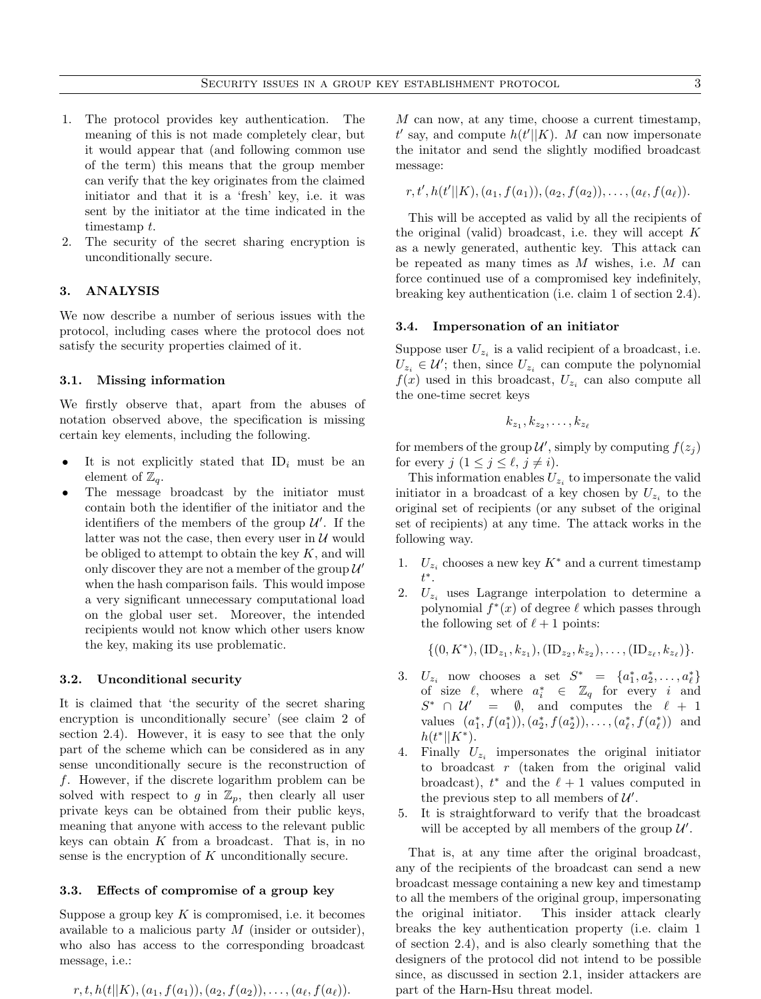- 1. The protocol provides key authentication. The meaning of this is not made completely clear, but it would appear that (and following common use of the term) this means that the group member can verify that the key originates from the claimed initiator and that it is a 'fresh' key, i.e. it was sent by the initiator at the time indicated in the timestamp t.
- 2. The security of the secret sharing encryption is unconditionally secure.

# 3. ANALYSIS

We now describe a number of serious issues with the protocol, including cases where the protocol does not satisfy the security properties claimed of it.

### 3.1. Missing information

We firstly observe that, apart from the abuses of notation observed above, the specification is missing certain key elements, including the following.

- It is not explicitly stated that  $ID_i$  must be an element of  $\mathbb{Z}_q$ .
- The message broadcast by the initiator must contain both the identifier of the initiator and the identifiers of the members of the group  $\mathcal{U}'$ . If the latter was not the case, then every user in  $\mathcal U$  would be obliged to attempt to obtain the key  $K$ , and will only discover they are not a member of the group  $\mathcal{U}'$ when the hash comparison fails. This would impose a very significant unnecessary computational load on the global user set. Moreover, the intended recipients would not know which other users know the key, making its use problematic.

#### 3.2. Unconditional security

It is claimed that 'the security of the secret sharing encryption is unconditionally secure' (see claim 2 of section 2.4). However, it is easy to see that the only part of the scheme which can be considered as in any sense unconditionally secure is the reconstruction of f. However, if the discrete logarithm problem can be solved with respect to g in  $\mathbb{Z}_p$ , then clearly all user private keys can be obtained from their public keys, meaning that anyone with access to the relevant public keys can obtain  $K$  from a broadcast. That is, in no sense is the encryption of  $K$  unconditionally secure.

#### 3.3. Effects of compromise of a group key

Suppose a group key  $K$  is compromised, i.e. it becomes available to a malicious party  $M$  (insider or outsider), who also has access to the corresponding broadcast message, i.e.:

$$
r, t, h(t||K), (a_1, f(a_1)), (a_2, f(a_2)), \ldots, (a_{\ell}, f(a_{\ell})).
$$

M can now, at any time, choose a current timestamp.  $t'$  say, and compute  $h(t'||K)$ . M can now impersonate the initator and send the slightly modified broadcast message:

$$
r, t', h(t'||K), (a_1, f(a_1)), (a_2, f(a_2)), \ldots, (a_{\ell}, f(a_{\ell})).
$$

This will be accepted as valid by all the recipients of the original (valid) broadcast, i.e. they will accept  $K$ as a newly generated, authentic key. This attack can be repeated as many times as  $M$  wishes, i.e.  $M$  can force continued use of a compromised key indefinitely, breaking key authentication (i.e. claim 1 of section 2.4).

#### 3.4. Impersonation of an initiator

Suppose user  $U_{z_i}$  is a valid recipient of a broadcast, i.e.  $U_{z_i} \in \mathcal{U}'$ ; then, since  $U_{z_i}$  can compute the polynomial  $f(x)$  used in this broadcast,  $U_{z_i}$  can also compute all the one-time secret keys

$$
k_{z_1}, k_{z_2}, \ldots, k_{z_\ell}
$$

for members of the group  $\mathcal{U}'$ , simply by computing  $f(z_j)$ for every  $j \ (1 \leq j \leq \ell, j \neq i).$ 

This information enables  $U_{z_i}$  to impersonate the valid initiator in a broadcast of a key chosen by  $U_{z_i}$  to the original set of recipients (or any subset of the original set of recipients) at any time. The attack works in the following way.

- 1.  $U_{z_i}$  chooses a new key  $K^*$  and a current timestamp t .
- 2.  $U_{z_i}$  uses Lagrange interpolation to determine a polynomial  $f^*(x)$  of degree  $\ell$  which passes through the following set of  $\ell + 1$  points:

 $\{(0, K^*), (\text{ID}_{z_1}, k_{z_1}), (\text{ID}_{z_2}, k_{z_2}), \ldots, (\text{ID}_{z_\ell}, k_{z_\ell})\}.$ 

- 3.  $U_{z_i}$  now chooses a set  $S^* = \{a_1^*, a_2^*, \ldots, a_\ell^*\}$  $\begin{array}{rcl}\n\sigma_{z_i} & \text{now chooses} \quad a \quad \text{set} \quad D = \{u_1, u_2, \ldots, u_\ell\} \\
\text{of size } \ell, \quad \text{where} \quad a_i^* \in \mathbb{Z}_q \quad \text{for every} \quad i \quad \text{and} \n\end{array}$  $S^* \cap \mathcal{U}' = \emptyset$ , and computes the  $\ell + 1$ values  $(a_1^*, f(a_1^*)), (a_2^*, f(a_2^*)), \ldots, (a_\ell^*, f(a_\ell^*))$  and  $h(t^*||K^*).$
- 4. Finally  $U_{z_i}$  impersonates the original initiator to broadcast  $r$  (taken from the original valid broadcast),  $t^*$  and the  $\ell + 1$  values computed in the previous step to all members of  $\mathcal{U}'$ .
- 5. It is straightforward to verify that the broadcast will be accepted by all members of the group  $\mathcal{U}'$ .

That is, at any time after the original broadcast, any of the recipients of the broadcast can send a new broadcast message containing a new key and timestamp to all the members of the original group, impersonating the original initiator. This insider attack clearly breaks the key authentication property (i.e. claim 1 of section 2.4), and is also clearly something that the designers of the protocol did not intend to be possible since, as discussed in section 2.1, insider attackers are part of the Harn-Hsu threat model.